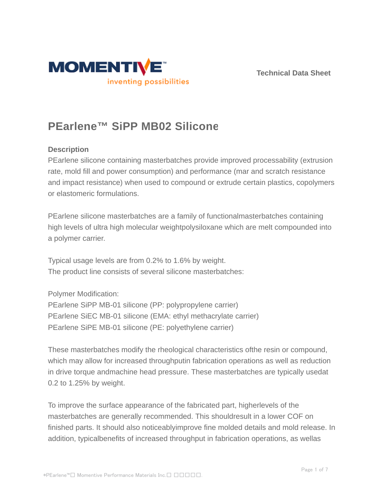



# **PEarlene™ SiPP MB02 Silicone**

## **Description**

PEarlene silicone containing masterbatches provide improved processability (extrusion rate, mold fill and power consumption) and performance (mar and scratch resistance and impact resistance) when used to compound or extrude certain plastics, copolymers or elastomeric formulations.

PEarlene silicone masterbatches are a family of functionalmasterbatches containing high levels of ultra high molecular weightpolysiloxane which are melt compounded into a polymer carrier.

Typical usage levels are from 0.2% to 1.6% by weight. The product line consists of several silicone masterbatches:

Polymer Modification:

PEarlene SiPP MB-01 silicone (PP: polypropylene carrier) PEarlene SiEC MB-01 silicone (EMA: ethyl methacrylate carrier) PEarlene SiPE MB-01 silicone (PE: polyethylene carrier)

These masterbatches modify the rheological characteristics ofthe resin or compound, which may allow for increased throughputin fabrication operations as well as reduction in drive torque andmachine head pressure. These masterbatches are typically usedat 0.2 to 1.25% by weight.

To improve the surface appearance of the fabricated part, higherlevels of the masterbatches are generally recommended. This shouldresult in a lower COF on finished parts. It should also noticeablyimprove fine molded details and mold release. In addition, typicalbenefits of increased throughput in fabrication operations, as wellas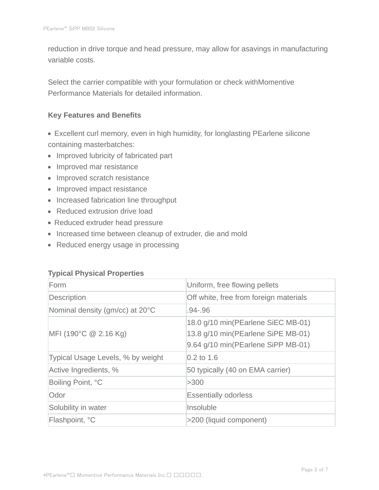reduction in drive torque and head pressure, may allow for asavings in manufacturing variable costs.

Select the carrier compatible with your formulation or check withMomentive Performance Materials for detailed information.

#### **Key Features and Benefits**

- Excellent curl memory, even in high humidity, for longlasting PEarlene silicone containing masterbatches:
- Improved lubricity of fabricated part
- Improved mar resistance
- Improved scratch resistance
- Improved impact resistance
- Increased fabrication line throughput
- Reduced extrusion drive load
- Reduced extruder head pressure
- Increased time between cleanup of extruder, die and mold
- Reduced energy usage in processing

#### **Typical Physical Properties**

| Form                              | Uniform, free flowing pellets                                                                                  |  |
|-----------------------------------|----------------------------------------------------------------------------------------------------------------|--|
| Description                       | Off white, free from foreign materials                                                                         |  |
| Nominal density (gm/cc) at 20°C   | .94-.96                                                                                                        |  |
| MFI (190°C $@$ 2.16 Kg)           | 18.0 g/10 min(PEarlene SiEC MB-01)<br>13.8 g/10 min(PEarlene SiPE MB-01)<br>9.64 g/10 min(PEarlene SiPP MB-01) |  |
| Typical Usage Levels, % by weight | $0.2$ to 1.6                                                                                                   |  |
| Active Ingredients, %             | 50 typically (40 on EMA carrier)                                                                               |  |
| Boiling Point, °C                 | >300                                                                                                           |  |
| Odor                              | <b>Essentially odorless</b>                                                                                    |  |
| Solubility in water               | Insoluble                                                                                                      |  |
| Flashpoint, °C                    | >200 (liquid component)                                                                                        |  |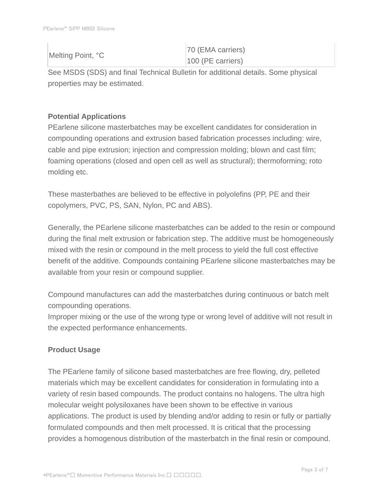| Melting Point, °C | 70 (EMA carriers)   |
|-------------------|---------------------|
|                   | $100$ (PE carriers) |

See MSDS (SDS) and final Technical Bulletin for additional details. Some physical properties may be estimated.

# **Potential Applications**

PEarlene silicone masterbatches may be excellent candidates for consideration in compounding operations and extrusion based fabrication processes including: wire, cable and pipe extrusion; injection and compression molding; blown and cast film; foaming operations (closed and open cell as well as structural); thermoforming; roto molding etc.

These masterbathes are believed to be effective in polyolefins (PP, PE and their copolymers, PVC, PS, SAN, Nylon, PC and ABS).

Generally, the PEarlene silicone masterbatches can be added to the resin or compound during the final melt extrusion or fabrication step. The additive must be homogeneously mixed with the resin or compound in the melt process to yield the full cost effective benefit of the additive. Compounds containing PEarlene silicone masterbatches may be available from your resin or compound supplier.

Compound manufactures can add the masterbatches during continuous or batch melt compounding operations.

Improper mixing or the use of the wrong type or wrong level of additive will not result in the expected performance enhancements.

# **Product Usage**

The PEarlene family of silicone based masterbatches are free flowing, dry, pelleted materials which may be excellent candidates for consideration in formulating into a variety of resin based compounds. The product contains no halogens. The ultra high molecular weight polysiloxanes have been shown to be effective in various applications. The product is used by blending and/or adding to resin or fully or partially formulated compounds and then melt processed. It is critical that the processing provides a homogenous distribution of the masterbatch in the final resin or compound.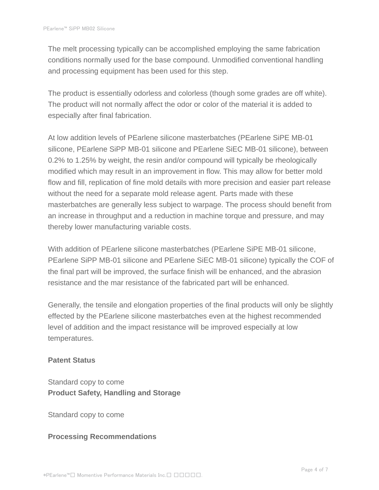The melt processing typically can be accomplished employing the same fabrication conditions normally used for the base compound. Unmodified conventional handling and processing equipment has been used for this step.

The product is essentially odorless and colorless (though some grades are off white). The product will not normally affect the odor or color of the material it is added to especially after final fabrication.

At low addition levels of PEarlene silicone masterbatches (PEarlene SiPE MB-01 silicone, PEarlene SiPP MB-01 silicone and PEarlene SiEC MB-01 silicone), between 0.2% to 1.25% by weight, the resin and/or compound will typically be rheologically modified which may result in an improvement in flow. This may allow for better mold flow and fill, replication of fine mold details with more precision and easier part release without the need for a separate mold release agent. Parts made with these masterbatches are generally less subject to warpage. The process should benefit from an increase in throughput and a reduction in machine torque and pressure, and may thereby lower manufacturing variable costs.

With addition of PEarlene silicone masterbatches (PEarlene SiPE MB-01 silicone, PEarlene SiPP MB-01 silicone and PEarlene SiEC MB-01 silicone) typically the COF of the final part will be improved, the surface finish will be enhanced, and the abrasion resistance and the mar resistance of the fabricated part will be enhanced.

Generally, the tensile and elongation properties of the final products will only be slightly effected by the PEarlene silicone masterbatches even at the highest recommended level of addition and the impact resistance will be improved especially at low temperatures.

#### **Patent Status**

Standard copy to come **Product Safety, Handling and Storage**

Standard copy to come

## **Processing Recommendations**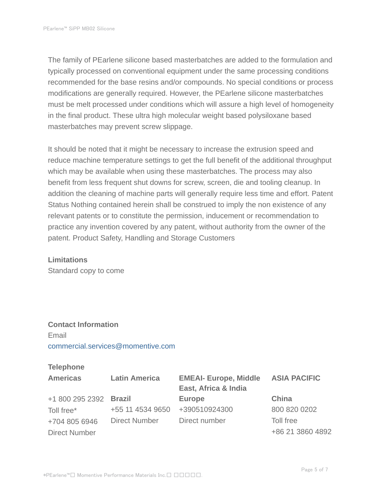The family of PEarlene silicone based masterbatches are added to the formulation and typically processed on conventional equipment under the same processing conditions recommended for the base resins and/or compounds. No special conditions or process modifications are generally required. However, the PEarlene silicone masterbatches must be melt processed under conditions which will assure a high level of homogeneity in the final product. These ultra high molecular weight based polysiloxane based masterbatches may prevent screw slippage.

It should be noted that it might be necessary to increase the extrusion speed and reduce machine temperature settings to get the full benefit of the additional throughput which may be available when using these masterbatches. The process may also benefit from less frequent shut downs for screw, screen, die and tooling cleanup. In addition the cleaning of machine parts will generally require less time and effort. Patent Status Nothing contained herein shall be construed to imply the non existence of any relevant patents or to constitute the permission, inducement or recommendation to practice any invention covered by any patent, without authority from the owner of the patent. Product Safety, Handling and Storage Customers

#### **Limitations**

Standard copy to come

# **Contact Information** Email commercial.services@momentive.com

#### **Telephone**

| <b>Americas</b>        | <b>Latin America</b> | <b>EMEAI- Europe, Middle</b><br>East, Africa & India | <b>ASIA PACIFIC</b> |
|------------------------|----------------------|------------------------------------------------------|---------------------|
| +1 800 295 2392 Brazil |                      | <b>Europe</b>                                        | China               |
| Toll free*             | +55 11 4534 9650     | +390510924300                                        | 800 820 0202        |
| +704 805 6946          | <b>Direct Number</b> | Direct number                                        | Toll free           |
| <b>Direct Number</b>   |                      |                                                      | +86 21 3860 4892    |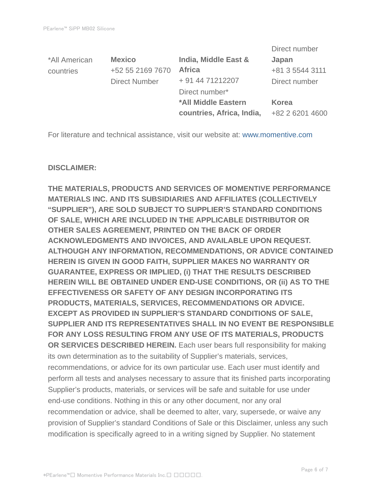|                      |                           | Direct number   |
|----------------------|---------------------------|-----------------|
| <b>Mexico</b>        | India, Middle East &      | Japan           |
| +52 55 2169 7670     | <b>Africa</b>             | +81 3 5544 3111 |
| <b>Direct Number</b> | + 91 44 71212207          | Direct number   |
|                      | Direct number*            |                 |
|                      | *All Middle Eastern       | Korea           |
|                      | countries, Africa, India, | +82 2 6201 4600 |
|                      |                           |                 |

For literature and technical assistance, visit our website at: www.momentive.com

#### **DISCLAIMER:**

**THE MATERIALS, PRODUCTS AND SERVICES OF MOMENTIVE PERFORMANCE MATERIALS INC. AND ITS SUBSIDIARIES AND AFFILIATES (COLLECTIVELY "SUPPLIER"), ARE SOLD SUBJECT TO SUPPLIER'S STANDARD CONDITIONS OF SALE, WHICH ARE INCLUDED IN THE APPLICABLE DISTRIBUTOR OR OTHER SALES AGREEMENT, PRINTED ON THE BACK OF ORDER ACKNOWLEDGMENTS AND INVOICES, AND AVAILABLE UPON REQUEST. ALTHOUGH ANY INFORMATION, RECOMMENDATIONS, OR ADVICE CONTAINED HEREIN IS GIVEN IN GOOD FAITH, SUPPLIER MAKES NO WARRANTY OR GUARANTEE, EXPRESS OR IMPLIED, (i) THAT THE RESULTS DESCRIBED HEREIN WILL BE OBTAINED UNDER END-USE CONDITIONS, OR (ii) AS TO THE EFFECTIVENESS OR SAFETY OF ANY DESIGN INCORPORATING ITS PRODUCTS, MATERIALS, SERVICES, RECOMMENDATIONS OR ADVICE. EXCEPT AS PROVIDED IN SUPPLIER'S STANDARD CONDITIONS OF SALE, SUPPLIER AND ITS REPRESENTATIVES SHALL IN NO EVENT BE RESPONSIBLE FOR ANY LOSS RESULTING FROM ANY USE OF ITS MATERIALS, PRODUCTS OR SERVICES DESCRIBED HEREIN.** Each user bears full responsibility for making its own determination as to the suitability of Supplier's materials, services, recommendations, or advice for its own particular use. Each user must identify and perform all tests and analyses necessary to assure that its finished parts incorporating Supplier's products, materials, or services will be safe and suitable for use under end-use conditions. Nothing in this or any other document, nor any oral recommendation or advice, shall be deemed to alter, vary, supersede, or waive any provision of Supplier's standard Conditions of Sale or this Disclaimer, unless any such modification is specifically agreed to in a writing signed by Supplier. No statement